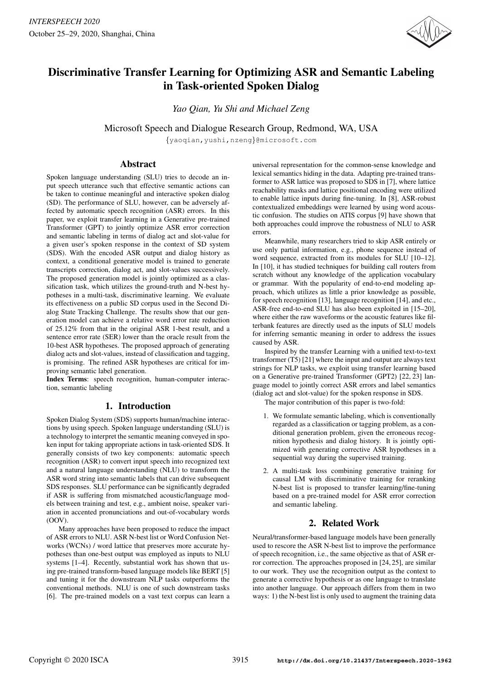

# Discriminative Transfer Learning for Optimizing ASR and Semantic Labeling in Task-oriented Spoken Dialog

*Yao Qian, Yu Shi and Michael Zeng*

Microsoft Speech and Dialogue Research Group, Redmond, WA, USA

{yaoqian,yushi,nzeng}@microsoft.com

## Abstract

Spoken language understanding (SLU) tries to decode an input speech utterance such that effective semantic actions can be taken to continue meaningful and interactive spoken dialog (SD). The performance of SLU, however, can be adversely affected by automatic speech recognition (ASR) errors. In this paper, we exploit transfer learning in a Generative pre-trained Transformer (GPT) to jointly optimize ASR error correction and semantic labeling in terms of dialog act and slot-value for a given user's spoken response in the context of SD system (SDS). With the encoded ASR output and dialog history as context, a conditional generative model is trained to generate transcripts correction, dialog act, and slot-values successively. The proposed generation model is jointly optimized as a classification task, which utilizes the ground-truth and N-best hypotheses in a multi-task, discriminative learning. We evaluate its effectiveness on a public SD corpus used in the Second Dialog State Tracking Challenge. The results show that our generation model can achieve a relative word error rate reduction of 25.12% from that in the original ASR 1-best result, and a sentence error rate (SER) lower than the oracle result from the 10-best ASR hypotheses. The proposed approach of generating dialog acts and slot-values, instead of classification and tagging, is promising. The refined ASR hypotheses are critical for improving semantic label generation.

Index Terms: speech recognition, human-computer interaction, semantic labeling

## 1. Introduction

Spoken Dialog System (SDS) supports human/machine interactions by using speech. Spoken language understanding (SLU) is a technology to interpret the semantic meaning conveyed in spoken input for taking appropriate actions in task-oriented SDS. It generally consists of two key components: automatic speech recognition (ASR) to convert input speech into recognized text and a natural language understanding (NLU) to transform the ASR word string into semantic labels that can drive subsequent SDS responses. SLU performance can be significantly degraded if ASR is suffering from mismatched acoustic/language models between training and test, e.g., ambient noise, speaker variation in accented pronunciations and out-of-vocabulary words  $(00V)$ 

Many approaches have been proposed to reduce the impact of ASR errors to NLU. ASR N-best list or Word Confusion Networks (WCNs) / word lattice that preserves more accurate hypotheses than one-best output was employed as inputs to NLU systems [1–4]. Recently, substantial work has shown that using pre-trained transform-based language models like BERT [5] and tuning it for the downstream NLP tasks outperforms the conventional methods. NLU is one of such downstream tasks [6]. The pre-trained models on a vast text corpus can learn a universal representation for the common-sense knowledge and lexical semantics hiding in the data. Adapting pre-trained transformer to ASR lattice was proposed to SDS in [7], where lattice reachability masks and lattice positional encoding were utilized to enable lattice inputs during fine-tuning. In [8], ASR-robust contextualized embeddings were learned by using word acoustic confusion. The studies on ATIS corpus [9] have shown that both approaches could improve the robustness of NLU to ASR errors.

Meanwhile, many researchers tried to skip ASR entirely or use only partial information, e.g., phone sequence instead of word sequence, extracted from its modules for SLU [10–12]. In [10], it has studied techniques for building call routers from scratch without any knowledge of the application vocabulary or grammar. With the popularity of end-to-end modeling approach, which utilizes as little a prior knowledge as possible, for speech recognition [13], language recognition [14], and etc., ASR-free end-to-end SLU has also been exploited in [15–20], where either the raw waveforms or the acoustic features like filterbank features are directly used as the inputs of SLU models for inferring semantic meaning in order to address the issues caused by ASR.

Inspired by the transfer Learning with a unified text-to-text transformer (T5) [21] where the input and output are always text strings for NLP tasks, we exploit using transfer learning based on a Generative pre-trained Transformer (GPT2) [22, 23] language model to jointly correct ASR errors and label semantics (dialog act and slot-value) for the spoken response in SDS.

The major contribution of this paper is two-fold:

- 1. We formulate semantic labeling, which is conventionally regarded as a classification or tagging problem, as a conditional generation problem, given the erroneous recognition hypothesis and dialog history. It is jointly optimized with generating corrective ASR hypotheses in a sequential way during the supervised training.
- 2. A multi-task loss combining generative training for causal LM with discriminative training for reranking N-best list is proposed to transfer learning/fine-tuning based on a pre-trained model for ASR error correction and semantic labeling.

## 2. Related Work

Neural/transformer-based language models have been generally used to rescore the ASR N-best list to improve the performance of speech recognition, i.e., the same objective as that of ASR error correction. The approaches proposed in [24, 25], are similar to our work. They use the recognition output as the context to generate a corrective hypothesis or as one language to translate into another language. Our approach differs from them in two ways: 1) the N-best list is only used to augment the training data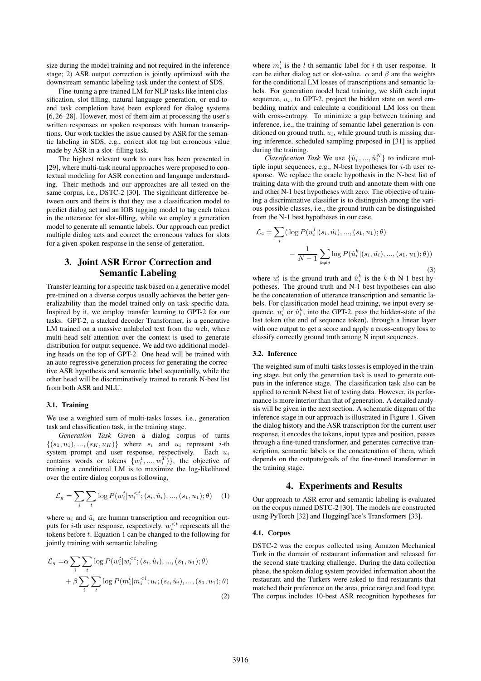size during the model training and not required in the inference stage; 2) ASR output correction is jointly optimized with the downstream semantic labeling task under the context of SDS.

Fine-tuning a pre-trained LM for NLP tasks like intent classification, slot filling, natural language generation, or end-toend task completion have been explored for dialog systems [6, 26–28]. However, most of them aim at processing the user's written responses or spoken responses with human transcriptions. Our work tackles the issue caused by ASR for the semantic labeling in SDS, e.g., correct slot tag but erroneous value made by ASR in a slot- filling task.

The highest relevant work to ours has been presented in [29], where multi-task neural approaches were proposed to contextual modeling for ASR correction and language understanding. Their methods and our approaches are all tested on the same corpus, i.e., DSTC-2 [30]. The significant difference between ours and theirs is that they use a classification model to predict dialog act and an IOB tagging model to tag each token in the utterance for slot-filling, while we employ a generation model to generate all semantic labels. Our approach can predict multiple dialog acts and correct the erroneous values for slots for a given spoken response in the sense of generation.

## 3. Joint ASR Error Correction and Semantic Labeling

Transfer learning for a specific task based on a generative model pre-trained on a diverse corpus usually achieves the better generalizability than the model trained only on task-specific data. Inspired by it, we employ transfer learning to GPT-2 for our tasks. GPT-2, a stacked decoder Transformer, is a generative LM trained on a massive unlabeled text from the web, where multi-head self-attention over the context is used to generate distribution for output sequence. We add two additional modeling heads on the top of GPT-2. One head will be trained with an auto-regressive generation process for generating the corrective ASR hypothesis and semantic label sequentially, while the other head will be discriminatively trained to rerank N-best list from both ASR and NLU.

#### 3.1. Training

We use a weighted sum of multi-tasks losses, i.e., generation task and classification task, in the training stage.

*Generation Task* Given a dialog corpus of turns  $\{(s_1, u_1), ..., (s_K, u_K)\}\$  where  $s_i$  and  $u_i$  represent *i*-th system prompt and user response, respectively. Each  $u_i$ contains words or tokens  $\{w_i^1, ..., w_i^T\}$ , the objective of training a conditional LM is to maximize the log-likelihood over the entire dialog corpus as following,

$$
\mathcal{L}_g = \sum_i \sum_t \log P(w_i^t | w_i^{<}; (s_i, \hat{u}_i), ..., (s_1, u_1); \theta) \quad (1)
$$

where  $u_i$  and  $\hat{u}_i$  are human transcription and recognition outputs for *i*-th user response, respectively.  $w_i^{< t}$  represents all the tokens before  $t$ . Equation 1 can be changed to the following for jointly training with semantic labeling.

$$
\mathcal{L}_{g} = \alpha \sum_{i} \sum_{t} \log P(w_{i}^{t} | w_{i}^{< t}; (s_{i}, \hat{u}_{i}), ..., (s_{1}, u_{1}); \theta) \n+ \beta \sum_{i} \sum_{l} \log P(m_{i}^{l} | m_{i}^{< l}; u_{i}; (s_{i}, \hat{u}_{i}), ..., (s_{1}, u_{1}); \theta)
$$
\n(2)

where  $m_i^l$  is the *l*-th semantic label for *i*-th user response. It can be either dialog act or slot-value.  $\alpha$  and  $\beta$  are the weights for the conditional LM losses of transcriptions and semantic labels. For generation model head training, we shift each input sequence,  $u_i$ , to GPT-2, project the hidden state on word embedding matrix and calculate a conditional LM loss on them with cross-entropy. To minimize a gap between training and inference, i.e., the training of semantic label generation is conditioned on ground truth,  $u_i$ , while ground truth is missing during inference, scheduled sampling proposed in [31] is applied during the training.

*Classification Task* We use  $\{\hat{u}_i^1, ..., \hat{u}_i^N\}$  to indicate multiple input sequences, e.g., N-best hypotheses for  $i$ -th user response. We replace the oracle hypothesis in the N-best list of training data with the ground truth and annotate them with one and other N-1 best hypotheses with zero. The objective of training a discriminative classifier is to distinguish among the various possible classes, i.e., the ground truth can be distinguished from the N-1 best hypotheses in our case,

$$
\mathcal{L}_c = \sum_i \left( \log P(u_i^j | (s_i, \hat{u}_i), ..., (s_1, u_1); \theta) - \frac{1}{N - 1} \sum_{k \neq j} \log P(\hat{u}_i^k | (s_i, \hat{u}_i), ..., (s_1, u_1); \theta) \right)
$$
\n(3)

where  $u_i^j$  is the ground truth and  $\hat{u}_i^k$  is the k-th N-1 best hypotheses. The ground truth and N-1 best hypotheses can also be the concatenation of utterance transcription and semantic labels. For classification model head training, we input every sequence,  $u_i^j$  or  $\hat{u}_i^k$ , into the GPT-2, pass the hidden-state of the last token (the end of sequence token), through a linear layer with one output to get a score and apply a cross-entropy loss to classify correctly ground truth among N input sequences.

#### 3.2. Inference

The weighted sum of multi-tasks losses is employed in the training stage, but only the generation task is used to generate outputs in the inference stage. The classification task also can be applied to rerank N-best list of testing data. However, its performance is more interior than that of generation. A detailed analysis will be given in the next section. A schematic diagram of the inference stage in our approach is illustrated in Figure 1. Given the dialog history and the ASR transcription for the current user response, it encodes the tokens, input types and position, passes through a fine-tuned transformer, and generates corrective transcription, semantic labels or the concatenation of them, which depends on the outputs/goals of the fine-tuned transformer in the training stage.

### 4. Experiments and Results

Our approach to ASR error and semantic labeling is evaluated on the corpus named DSTC-2 [30]. The models are constructed using PyTorch [32] and HuggingFace's Transformers [33].

#### 4.1. Corpus

DSTC-2 was the corpus collected using Amazon Mechanical Turk in the domain of restaurant information and released for the second state tracking challenge. During the data collection phase, the spoken dialog system provided information about the restaurant and the Turkers were asked to find restaurants that matched their preference on the area, price range and food type. The corpus includes 10-best ASR recognition hypotheses for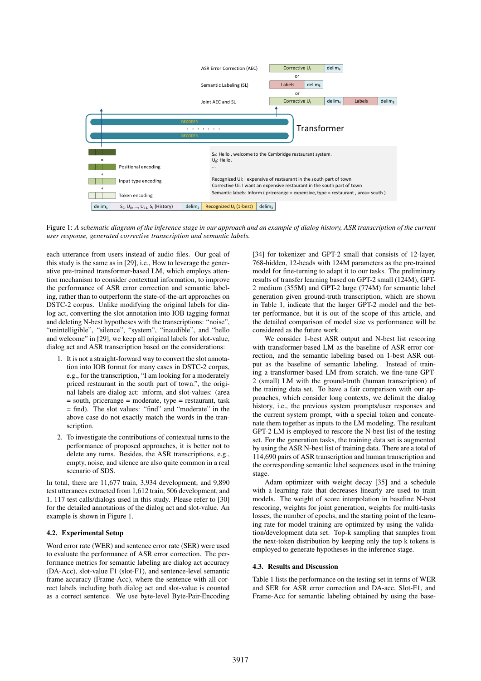

Figure 1: *A schematic diagram of the inference stage in our approach and an example of dialog history, ASR transcription of the current user response, generated corrective transcription and semantic labels.*

each utterance from users instead of audio files. Our goal of this study is the same as in [29], i.e., How to leverage the generative pre-trained transformer-based LM, which employs attention mechanism to consider contextual information, to improve the performance of ASR error correction and semantic labeling, rather than to outperform the state-of-the-art approaches on DSTC-2 corpus. Unlike modifying the original labels for dialog act, converting the slot annotation into IOB tagging format and deleting N-best hypotheses with the transcriptions: "noise", "unintelligible", "silence", "system", "inaudible", and "hello and welcome" in [29], we keep all original labels for slot-value, dialog act and ASR transcription based on the considerations:

- 1. It is not a straight-forward way to convert the slot annotation into IOB format for many cases in DSTC-2 corpus, e.g., for the transcription, "I am looking for a moderately priced restaurant in the south part of town.", the original labels are dialog act: inform, and slot-values: (area = south, pricerange = moderate, type = restaurant, task = find). The slot values: "find" and "moderate" in the above case do not exactly match the words in the transcription.
- 2. To investigate the contributions of contextual turns to the performance of proposed approaches, it is better not to delete any turns. Besides, the ASR transcriptions, e.g., empty, noise, and silence are also quite common in a real scenario of SDS.

In total, there are 11,677 train, 3,934 development, and 9,890 test utterances extracted from 1,612 train, 506 development, and 1, 117 test calls/dialogs used in this study. Please refer to [30] for the detailed annotations of the dialog act and slot-value. An example is shown in Figure 1.

#### 4.2. Experimental Setup

Word error rate (WER) and sentence error rate (SER) were used to evaluate the performance of ASR error correction. The performance metrics for semantic labeling are dialog act accuracy (DA-Acc), slot-value F1 (slot-F1), and sentence-level semantic frame accuracy (Frame-Acc), where the sentence with all correct labels including both dialog act and slot-value is counted as a correct sentence. We use byte-level Byte-Pair-Encoding

[34] for tokenizer and GPT-2 small that consists of 12-layer, 768-hidden, 12-heads with 124M parameters as the pre-trained model for fine-turning to adapt it to our tasks. The preliminary results of transfer learning based on GPT-2 small (124M), GPT-2 medium (355M) and GPT-2 large (774M) for semantic label generation given ground-truth transcription, which are shown in Table 1, indicate that the larger GPT-2 model and the better performance, but it is out of the scope of this article, and the detailed comparison of model size vs performance will be considered as the future work.

We consider 1-best ASR output and N-best list rescoring with transformer-based LM as the baseline of ASR error correction, and the semantic labeling based on 1-best ASR output as the baseline of semantic labeling. Instead of training a transformer-based LM from scratch, we fine-tune GPT-2 (small) LM with the ground-truth (human transcription) of the training data set. To have a fair comparison with our approaches, which consider long contexts, we delimit the dialog history, i.e., the previous system prompts/user responses and the current system prompt, with a special token and concatenate them together as inputs to the LM modeling. The resultant GPT-2 LM is employed to rescore the N-best list of the testing set. For the generation tasks, the training data set is augmented by using the ASR N-best list of training data. There are a total of 114,690 pairs of ASR transcription and human transcription and the corresponding semantic label sequences used in the training stage.

Adam optimizer with weight decay [35] and a schedule with a learning rate that decreases linearly are used to train models. The weight of score interpolation in baseline N-best rescoring, weights for joint generation, weights for multi-tasks losses, the number of epochs, and the starting point of the learning rate for model training are optimized by using the validation/development data set. Top-k sampling that samples from the next-token distribution by keeping only the top k tokens is employed to generate hypotheses in the inference stage.

#### 4.3. Results and Discussion

Table 1 lists the performance on the testing set in terms of WER and SER for ASR error correction and DA-acc, Slot-F1, and Frame-Acc for semantic labeling obtained by using the base-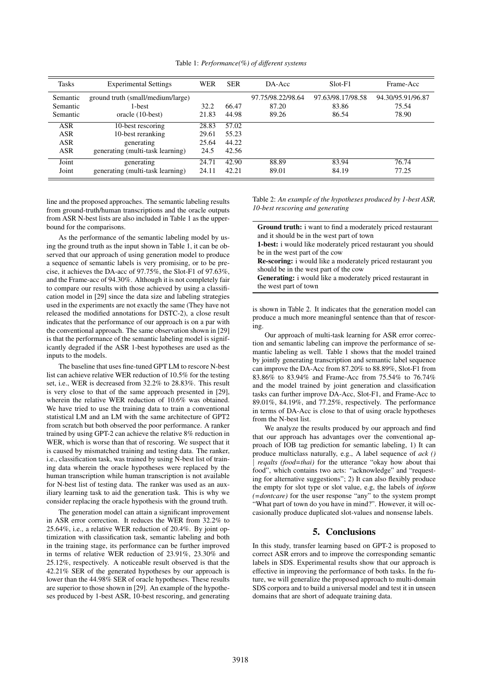| <b>Tasks</b>                                         | <b>Experimental Settings</b>                                                             | <b>WER</b>                      | <b>SER</b>                       | DA-Acc                              | $Slot-F1$                           | Frame-Acc                           |
|------------------------------------------------------|------------------------------------------------------------------------------------------|---------------------------------|----------------------------------|-------------------------------------|-------------------------------------|-------------------------------------|
| Semantic<br>Semantic<br>Semantic                     | ground truth (small/medium/large)<br>1-best<br>oracle (10-best)                          | 32.2<br>21.83                   | 66.47<br>44.98                   | 97.75/98.22/98.64<br>87.20<br>89.26 | 97.63/98.17/98.58<br>83.86<br>86.54 | 94.30/95.91/96.87<br>75.54<br>78.90 |
| <b>ASR</b><br><b>ASR</b><br><b>ASR</b><br><b>ASR</b> | 10-best rescoring<br>10-best reranking<br>generating<br>generating (multi-task learning) | 28.83<br>29.61<br>25.64<br>24.5 | 57.02<br>55.23<br>44.22<br>42.56 |                                     |                                     |                                     |
| Joint<br>Joint                                       | generating<br>generating (multi-task learning)                                           | 24.71<br>24.11                  | 42.90<br>42.21                   | 88.89<br>89.01                      | 83.94<br>84.19                      | 76.74<br>77.25                      |

Table 1: *Performance(%) of different systems*

line and the proposed approaches. The semantic labeling results from ground-truth/human transcriptions and the oracle outputs from ASR N-best lists are also included in Table 1 as the upperbound for the comparisons.

As the performance of the semantic labeling model by using the ground truth as the input shown in Table 1, it can be observed that our approach of using generation model to produce a sequence of semantic labels is very promising, or to be precise, it achieves the DA-acc of 97.75%, the Slot-F1 of 97.63%, and the Frame-acc of 94.30%. Although it is not completely fair to compare our results with those achieved by using a classification model in [29] since the data size and labeling strategies used in the experiments are not exactly the same (They have not released the modified annotations for DSTC-2), a close result indicates that the performance of our approach is on a par with the conventional approach. The same observation shown in [29] is that the performance of the semantic labeling model is significantly degraded if the ASR 1-best hypotheses are used as the inputs to the models.

The baseline that uses fine-tuned GPT LM to rescore N-best list can achieve relative WER reduction of 10.5% for the testing set, i.e., WER is decreased from 32.2% to 28.83%. This result is very close to that of the same approach presented in [29], wherein the relative WER reduction of 10.6% was obtained. We have tried to use the training data to train a conventional statistical LM and an LM with the same architecture of GPT2 from scratch but both observed the poor performance. A ranker trained by using GPT-2 can achieve the relative 8% reduction in WER, which is worse than that of rescoring. We suspect that it is caused by mismatched training and testing data. The ranker, i.e., classification task, was trained by using N-best list of training data wherein the oracle hypotheses were replaced by the human transcription while human transcription is not available for N-best list of testing data. The ranker was used as an auxiliary learning task to aid the generation task. This is why we consider replacing the oracle hypothesis with the ground truth.

The generation model can attain a significant improvement in ASR error correction. It reduces the WER from 32.2% to 25.64%, i.e., a relative WER reduction of 20.4%. By joint optimization with classification task, semantic labeling and both in the training stage, its performance can be further improved in terms of relative WER reduction of 23.91%, 23.30% and 25.12%, respectively. A noticeable result observed is that the 42.21% SER of the generated hypotheses by our approach is lower than the 44.98% SER of oracle hypotheses. These results are superior to those shown in [29]. An example of the hypotheses produced by 1-best ASR, 10-best rescoring, and generating Table 2: *An example of the hypotheses produced by 1-best ASR, 10-best rescoring and generating*

Ground truth: i want to find a moderately priced restaurant and it should be in the west part of town 1-best: i would like moderately priced restaurant you should be in the west part of the cow Re-scoring: i would like a moderately priced restaurant you should be in the west part of the cow Generating: i would like a moderately priced restaurant in the west part of town

is shown in Table 2. It indicates that the generation model can produce a much more meaningful sentence than that of rescoring.

Our approach of multi-task learning for ASR error correction and semantic labeling can improve the performance of semantic labeling as well. Table 1 shows that the model trained by jointly generating transcription and semantic label sequence can improve the DA-Acc from 87.20% to 88.89%, Slot-F1 from 83.86% to 83.94% and Frame-Acc from 75.54% to 76.74% and the model trained by joint generation and classification tasks can further improve DA-Acc, Slot-F1, and Frame-Acc to 89.01%, 84.19%, and 77.25%, respectively. The performance in terms of DA-Acc is close to that of using oracle hypotheses from the N-best list.

We analyze the results produced by our approach and find that our approach has advantages over the conventional approach of IOB tag prediction for semantic labeling, 1) It can produce multiclass naturally, e.g., A label sequence of *ack ()* | *reqalts (food=thai)* for the utterance "okay how about thai food", which contains two acts: "acknowledge" and "requesting for alternative suggestions"; 2) It can also flexibly produce the empty for slot type or slot value, e.g, the labels of *inform (=dontcare)* for the user response "any" to the system prompt "What part of town do you have in mind?". However, it will occasionally produce duplicated slot-values and nonsense labels.

## 5. Conclusions

In this study, transfer learning based on GPT-2 is proposed to correct ASR errors and to improve the corresponding semantic labels in SDS. Experimental results show that our approach is effective in improving the performance of both tasks. In the future, we will generalize the proposed approach to multi-domain SDS corpora and to build a universal model and test it in unseen domains that are short of adequate training data.